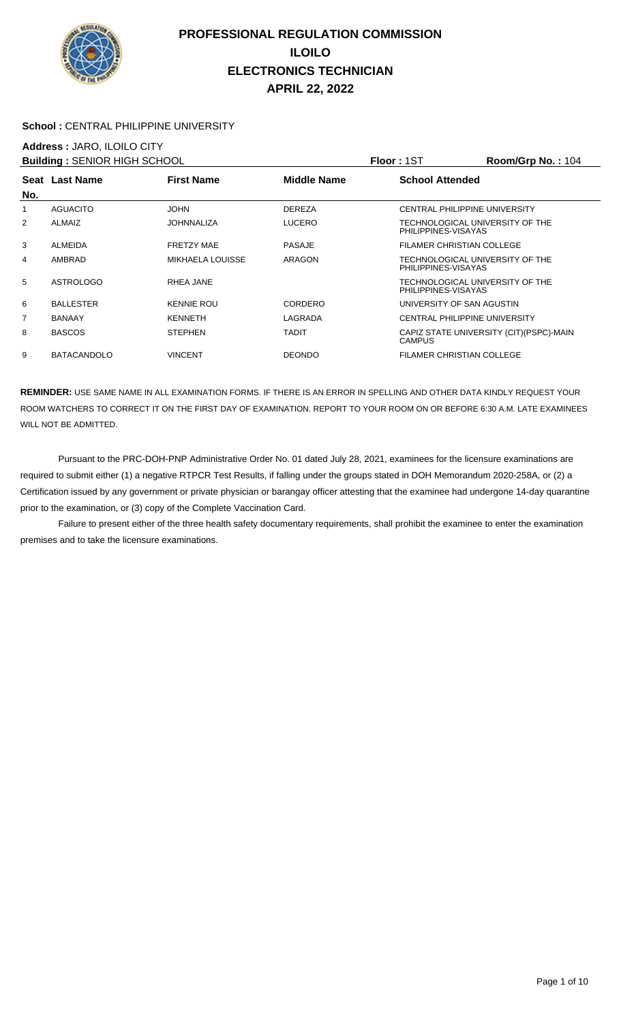

#### School : CENTRAL PHILIPPINE UNIVERSITY

## **Address :** JARO, ILOILO CITY

| <b>Building: SENIOR HIGH SCHOOL</b> |                    |                         |               | <b>Floor: 1ST</b>                                      | Room/Grp No.: 104                        |
|-------------------------------------|--------------------|-------------------------|---------------|--------------------------------------------------------|------------------------------------------|
| No.                                 | Seat Last Name     | <b>First Name</b>       | Middle Name   | <b>School Attended</b>                                 |                                          |
|                                     | AGUACITO           | <b>JOHN</b>             | <b>DEREZA</b> | CENTRAL PHILIPPINE UNIVERSITY                          |                                          |
| $\overline{2}$                      | <b>ALMAIZ</b>      | <b>JOHNNALIZA</b>       | <b>LUCERO</b> | TECHNOLOGICAL UNIVERSITY OF THE<br>PHILIPPINES-VISAYAS |                                          |
| 3                                   | ALMEIDA            | <b>FRETZY MAE</b>       | <b>PASAJE</b> | FILAMER CHRISTIAN COLLEGE                              |                                          |
| 4                                   | AMBRAD             | <b>MIKHAELA LOUISSE</b> | ARAGON        | TECHNOLOGICAL UNIVERSITY OF THE<br>PHILIPPINES-VISAYAS |                                          |
| 5                                   | <b>ASTROLOGO</b>   | RHEA JANE               |               | TECHNOLOGICAL UNIVERSITY OF THE<br>PHILIPPINES-VISAYAS |                                          |
| 6                                   | <b>BALLESTER</b>   | <b>KENNIE ROU</b>       | CORDERO       | UNIVERSITY OF SAN AGUSTIN                              |                                          |
| 7                                   | <b>BANAAY</b>      | <b>KENNETH</b>          | LAGRADA       | CENTRAL PHILIPPINE UNIVERSITY                          |                                          |
| 8                                   | <b>BASCOS</b>      | <b>STEPHEN</b>          | <b>TADIT</b>  | <b>CAMPUS</b>                                          | CAPIZ STATE UNIVERSITY (CIT) (PSPC)-MAIN |
| 9                                   | <b>BATACANDOLO</b> | <b>VINCENT</b>          | <b>DEONDO</b> | <b>FILAMER CHRISTIAN COLLEGE</b>                       |                                          |

**REMINDER:** USE SAME NAME IN ALL EXAMINATION FORMS. IF THERE IS AN ERROR IN SPELLING AND OTHER DATA KINDLY REQUEST YOUR ROOM WATCHERS TO CORRECT IT ON THE FIRST DAY OF EXAMINATION. REPORT TO YOUR ROOM ON OR BEFORE 6:30 A.M. LATE EXAMINEES WILL NOT BE ADMITTED.

 Pursuant to the PRC-DOH-PNP Administrative Order No. 01 dated July 28, 2021, examinees for the licensure examinations are required to submit either (1) a negative RTPCR Test Results, if falling under the groups stated in DOH Memorandum 2020-258A, or (2) a Certification issued by any government or private physician or barangay officer attesting that the examinee had undergone 14-day quarantine prior to the examination, or (3) copy of the Complete Vaccination Card.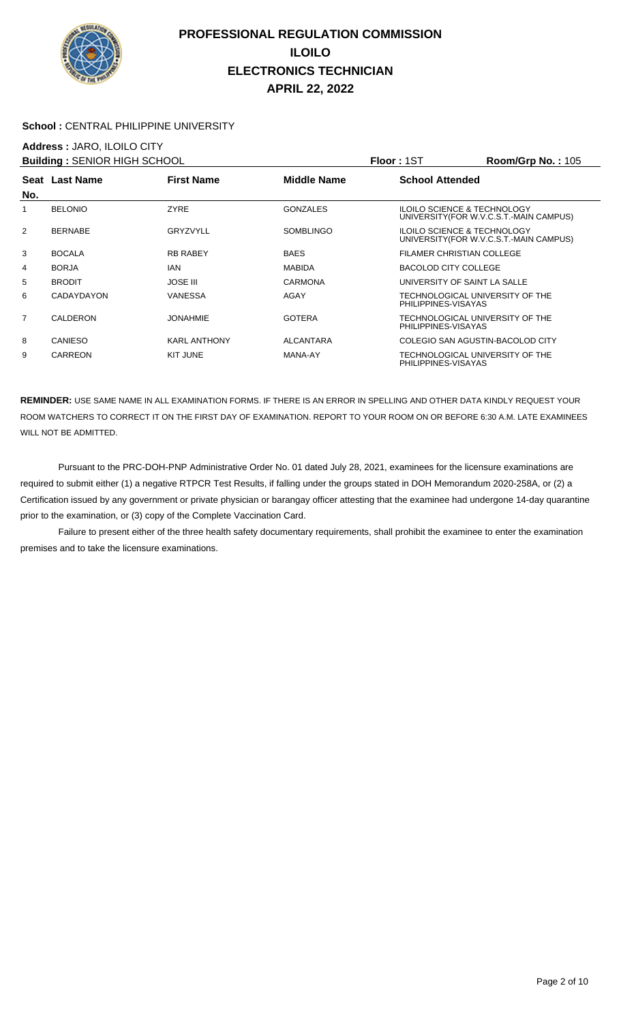

#### School : CENTRAL PHILIPPINE UNIVERSITY

### **Address :** JARO, ILOILO CITY

| <b>Building: SENIOR HIGH SCHOOL</b> |                |                     |                    | <b>Floor: 1ST</b>      | Room/Grp No.: 105                                                                 |
|-------------------------------------|----------------|---------------------|--------------------|------------------------|-----------------------------------------------------------------------------------|
|                                     | Seat Last Name | <b>First Name</b>   | <b>Middle Name</b> | <b>School Attended</b> |                                                                                   |
| No.                                 |                |                     |                    |                        |                                                                                   |
| 1                                   | <b>BELONIO</b> | <b>ZYRE</b>         | <b>GONZALES</b>    |                        | <b>ILOILO SCIENCE &amp; TECHNOLOGY</b><br>UNIVERSITY (FOR W.V.C.S.T.-MAIN CAMPUS) |
| 2                                   | <b>BERNABE</b> | GRYZVYLL            | <b>SOMBLINGO</b>   |                        | <b>ILOILO SCIENCE &amp; TECHNOLOGY</b><br>UNIVERSITY (FOR W.V.C.S.T.-MAIN CAMPUS) |
| 3                                   | <b>BOCALA</b>  | <b>RB RABEY</b>     | <b>BAES</b>        |                        | FILAMER CHRISTIAN COLLEGE                                                         |
| 4                                   | <b>BORJA</b>   | IAN                 | <b>MABIDA</b>      | BACOLOD CITY COLLEGE   |                                                                                   |
| 5                                   | <b>BRODIT</b>  | <b>JOSE III</b>     | <b>CARMONA</b>     |                        | UNIVERSITY OF SAINT LA SALLE                                                      |
| 6                                   | CADAYDAYON     | <b>VANESSA</b>      | AGAY               | PHILIPPINES-VISAYAS    | TECHNOLOGICAL UNIVERSITY OF THE                                                   |
| $\overline{7}$                      | CALDERON       | <b>JONAHMIE</b>     | <b>GOTERA</b>      | PHILIPPINES-VISAYAS    | TECHNOLOGICAL UNIVERSITY OF THE                                                   |
| 8                                   | CANIESO        | <b>KARL ANTHONY</b> | <b>ALCANTARA</b>   |                        | COLEGIO SAN AGUSTIN-BACOLOD CITY                                                  |
| 9                                   | <b>CARREON</b> | KIT JUNE            | MANA-AY            | PHILIPPINES-VISAYAS    | TECHNOLOGICAL UNIVERSITY OF THE                                                   |

**REMINDER:** USE SAME NAME IN ALL EXAMINATION FORMS. IF THERE IS AN ERROR IN SPELLING AND OTHER DATA KINDLY REQUEST YOUR ROOM WATCHERS TO CORRECT IT ON THE FIRST DAY OF EXAMINATION. REPORT TO YOUR ROOM ON OR BEFORE 6:30 A.M. LATE EXAMINEES WILL NOT BE ADMITTED.

 Pursuant to the PRC-DOH-PNP Administrative Order No. 01 dated July 28, 2021, examinees for the licensure examinations are required to submit either (1) a negative RTPCR Test Results, if falling under the groups stated in DOH Memorandum 2020-258A, or (2) a Certification issued by any government or private physician or barangay officer attesting that the examinee had undergone 14-day quarantine prior to the examination, or (3) copy of the Complete Vaccination Card.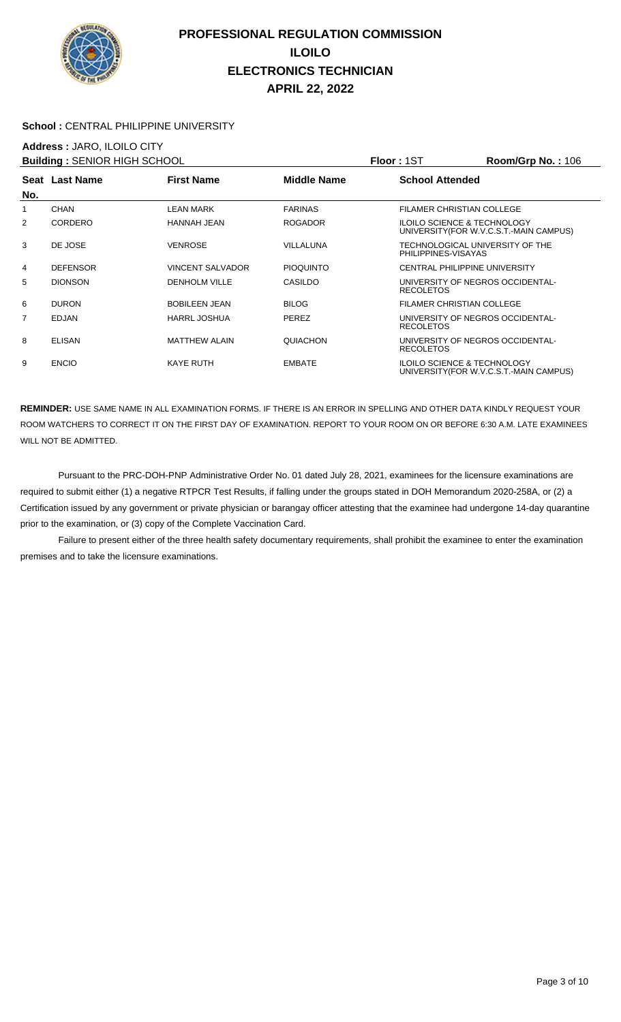

#### School : CENTRAL PHILIPPINE UNIVERSITY

## **Address :** JARO, ILOILO CITY

| <b>Building: SENIOR HIGH SCHOOL</b> |                 |                         |                    | Floor: 1ST                                             | <b>Room/Grp No.: 106</b>                |
|-------------------------------------|-----------------|-------------------------|--------------------|--------------------------------------------------------|-----------------------------------------|
|                                     | Seat Last Name  | <b>First Name</b>       | <b>Middle Name</b> | <b>School Attended</b>                                 |                                         |
| No.                                 |                 |                         |                    |                                                        |                                         |
| 1                                   | CHAN            | LEAN MARK               | <b>FARINAS</b>     | <b>FILAMER CHRISTIAN COLLEGE</b>                       |                                         |
| 2                                   | CORDERO         | HANNAH JEAN             | <b>ROGADOR</b>     | <b>ILOILO SCIENCE &amp; TECHNOLOGY</b>                 | UNIVERSITY (FOR W.V.C.S.T.-MAIN CAMPUS) |
| 3                                   | DE JOSE         | <b>VENROSE</b>          | VILLALUNA          | TECHNOLOGICAL UNIVERSITY OF THE<br>PHILIPPINES-VISAYAS |                                         |
| 4                                   | <b>DEFENSOR</b> | <b>VINCENT SALVADOR</b> | <b>PIOQUINTO</b>   | <b>CENTRAL PHILIPPINE UNIVERSITY</b>                   |                                         |
| 5                                   | <b>DIONSON</b>  | <b>DENHOLM VILLE</b>    | CASILDO            | UNIVERSITY OF NEGROS OCCIDENTAL-<br><b>RECOLETOS</b>   |                                         |
| 6                                   | <b>DURON</b>    | <b>BOBILEEN JEAN</b>    | <b>BILOG</b>       | FILAMER CHRISTIAN COLLEGE                              |                                         |
| $\overline{7}$                      | <b>EDJAN</b>    | <b>HARRL JOSHUA</b>     | PEREZ              | UNIVERSITY OF NEGROS OCCIDENTAL-<br><b>RECOLETOS</b>   |                                         |
| 8                                   | <b>ELISAN</b>   | <b>MATTHEW ALAIN</b>    | QUIACHON           | UNIVERSITY OF NEGROS OCCIDENTAL-<br><b>RECOLETOS</b>   |                                         |
| 9                                   | <b>ENCIO</b>    | <b>KAYE RUTH</b>        | <b>EMBATE</b>      | <b>ILOILO SCIENCE &amp; TECHNOLOGY</b>                 | UNIVERSITY (FOR W.V.C.S.T.-MAIN CAMPUS) |

**REMINDER:** USE SAME NAME IN ALL EXAMINATION FORMS. IF THERE IS AN ERROR IN SPELLING AND OTHER DATA KINDLY REQUEST YOUR ROOM WATCHERS TO CORRECT IT ON THE FIRST DAY OF EXAMINATION. REPORT TO YOUR ROOM ON OR BEFORE 6:30 A.M. LATE EXAMINEES WILL NOT BE ADMITTED.

 Pursuant to the PRC-DOH-PNP Administrative Order No. 01 dated July 28, 2021, examinees for the licensure examinations are required to submit either (1) a negative RTPCR Test Results, if falling under the groups stated in DOH Memorandum 2020-258A, or (2) a Certification issued by any government or private physician or barangay officer attesting that the examinee had undergone 14-day quarantine prior to the examination, or (3) copy of the Complete Vaccination Card.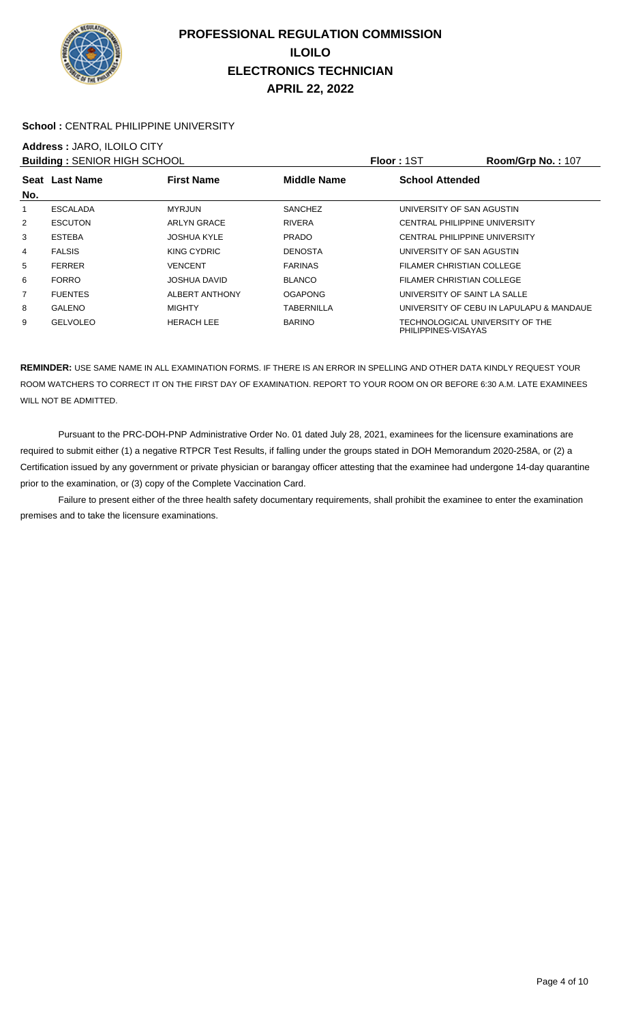

#### School : CENTRAL PHILIPPINE UNIVERSITY

# **Address :** JARO, ILOILO CITY

| <b>Building: SENIOR HIGH SCHOOL</b> |                 |                       |                    | <b>Floor: 1ST</b>                                      | <b>Room/Grp No.: 107</b>                 |
|-------------------------------------|-----------------|-----------------------|--------------------|--------------------------------------------------------|------------------------------------------|
|                                     | Seat Last Name  | <b>First Name</b>     | <b>Middle Name</b> | <b>School Attended</b>                                 |                                          |
| No.                                 |                 |                       |                    |                                                        |                                          |
| 1                                   | <b>ESCALADA</b> | <b>MYRJUN</b>         | <b>SANCHEZ</b>     | UNIVERSITY OF SAN AGUSTIN                              |                                          |
| $\overline{2}$                      | <b>ESCUTON</b>  | <b>ARLYN GRACE</b>    | <b>RIVERA</b>      | <b>CENTRAL PHILIPPINE UNIVERSITY</b>                   |                                          |
| 3                                   | <b>ESTEBA</b>   | <b>JOSHUA KYLE</b>    | <b>PRADO</b>       | <b>CENTRAL PHILIPPINE UNIVERSITY</b>                   |                                          |
| 4                                   | <b>FALSIS</b>   | KING CYDRIC           | <b>DENOSTA</b>     | UNIVERSITY OF SAN AGUSTIN                              |                                          |
| 5                                   | <b>FERRER</b>   | VENCENT               | <b>FARINAS</b>     | FILAMER CHRISTIAN COLLEGE                              |                                          |
| 6                                   | <b>FORRO</b>    | <b>JOSHUA DAVID</b>   | <b>BLANCO</b>      | FILAMER CHRISTIAN COLLEGE                              |                                          |
| $\overline{7}$                      | <b>FUENTES</b>  | <b>ALBERT ANTHONY</b> | <b>OGAPONG</b>     | UNIVERSITY OF SAINT LA SALLE                           |                                          |
| 8                                   | <b>GALENO</b>   | <b>MIGHTY</b>         | TABERNILLA         |                                                        | UNIVERSITY OF CEBU IN LAPULAPU & MANDAUE |
| 9                                   | <b>GELVOLEO</b> | <b>HERACH LEE</b>     | <b>BARINO</b>      | TECHNOLOGICAL UNIVERSITY OF THE<br>PHILIPPINES-VISAYAS |                                          |

**REMINDER:** USE SAME NAME IN ALL EXAMINATION FORMS. IF THERE IS AN ERROR IN SPELLING AND OTHER DATA KINDLY REQUEST YOUR ROOM WATCHERS TO CORRECT IT ON THE FIRST DAY OF EXAMINATION. REPORT TO YOUR ROOM ON OR BEFORE 6:30 A.M. LATE EXAMINEES WILL NOT BE ADMITTED.

 Pursuant to the PRC-DOH-PNP Administrative Order No. 01 dated July 28, 2021, examinees for the licensure examinations are required to submit either (1) a negative RTPCR Test Results, if falling under the groups stated in DOH Memorandum 2020-258A, or (2) a Certification issued by any government or private physician or barangay officer attesting that the examinee had undergone 14-day quarantine prior to the examination, or (3) copy of the Complete Vaccination Card.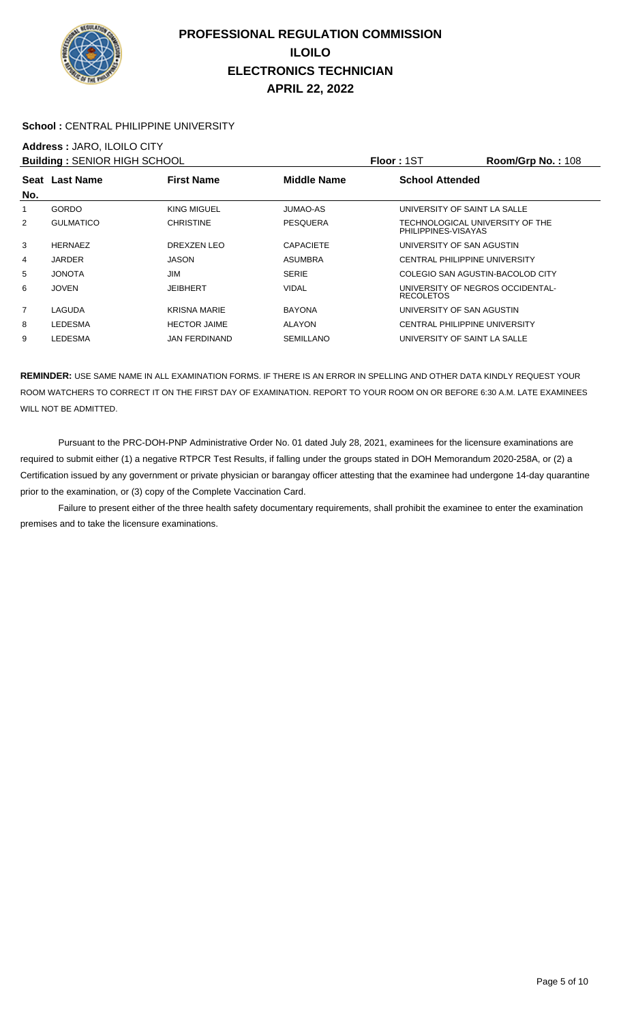

#### School : CENTRAL PHILIPPINE UNIVERSITY

## **Address :** JARO, ILOILO CITY

| <b>Building: SENIOR HIGH SCHOOL</b> |                  |                      |                    | <b>Floor: 1ST</b>                                      | Room/Grp No.: 108 |
|-------------------------------------|------------------|----------------------|--------------------|--------------------------------------------------------|-------------------|
|                                     | Seat Last Name   | <b>First Name</b>    | <b>Middle Name</b> | <b>School Attended</b>                                 |                   |
| No.                                 |                  |                      |                    |                                                        |                   |
|                                     | GORDO            | KING MIGUEL          | <b>JUMAO-AS</b>    | UNIVERSITY OF SAINT LA SALLE                           |                   |
| $\overline{2}$                      | <b>GULMATICO</b> | <b>CHRISTINE</b>     | <b>PESQUERA</b>    | TECHNOLOGICAL UNIVERSITY OF THE<br>PHILIPPINES-VISAYAS |                   |
| 3                                   | <b>HERNAEZ</b>   | DREXZEN LEO          | <b>CAPACIETE</b>   | UNIVERSITY OF SAN AGUSTIN                              |                   |
| 4                                   | <b>JARDER</b>    | <b>JASON</b>         | <b>ASUMBRA</b>     | <b>CENTRAL PHILIPPINE UNIVERSITY</b>                   |                   |
| 5                                   | <b>JONOTA</b>    | JIM                  | <b>SERIE</b>       | COLEGIO SAN AGUSTIN-BACOLOD CITY                       |                   |
| 6                                   | <b>JOVEN</b>     | JEIBHERT             | <b>VIDAL</b>       | UNIVERSITY OF NEGROS OCCIDENTAL-<br><b>RECOLETOS</b>   |                   |
| $\overline{7}$                      | LAGUDA           | <b>KRISNA MARIE</b>  | <b>BAYONA</b>      | UNIVERSITY OF SAN AGUSTIN                              |                   |
| 8                                   | LEDESMA          | <b>HECTOR JAIME</b>  | <b>ALAYON</b>      | CENTRAL PHILIPPINE UNIVERSITY                          |                   |
| 9                                   | LEDESMA          | <b>JAN FERDINAND</b> | <b>SEMILLANO</b>   | UNIVERSITY OF SAINT LA SALLE                           |                   |

**REMINDER:** USE SAME NAME IN ALL EXAMINATION FORMS. IF THERE IS AN ERROR IN SPELLING AND OTHER DATA KINDLY REQUEST YOUR ROOM WATCHERS TO CORRECT IT ON THE FIRST DAY OF EXAMINATION. REPORT TO YOUR ROOM ON OR BEFORE 6:30 A.M. LATE EXAMINEES WILL NOT BE ADMITTED.

 Pursuant to the PRC-DOH-PNP Administrative Order No. 01 dated July 28, 2021, examinees for the licensure examinations are required to submit either (1) a negative RTPCR Test Results, if falling under the groups stated in DOH Memorandum 2020-258A, or (2) a Certification issued by any government or private physician or barangay officer attesting that the examinee had undergone 14-day quarantine prior to the examination, or (3) copy of the Complete Vaccination Card.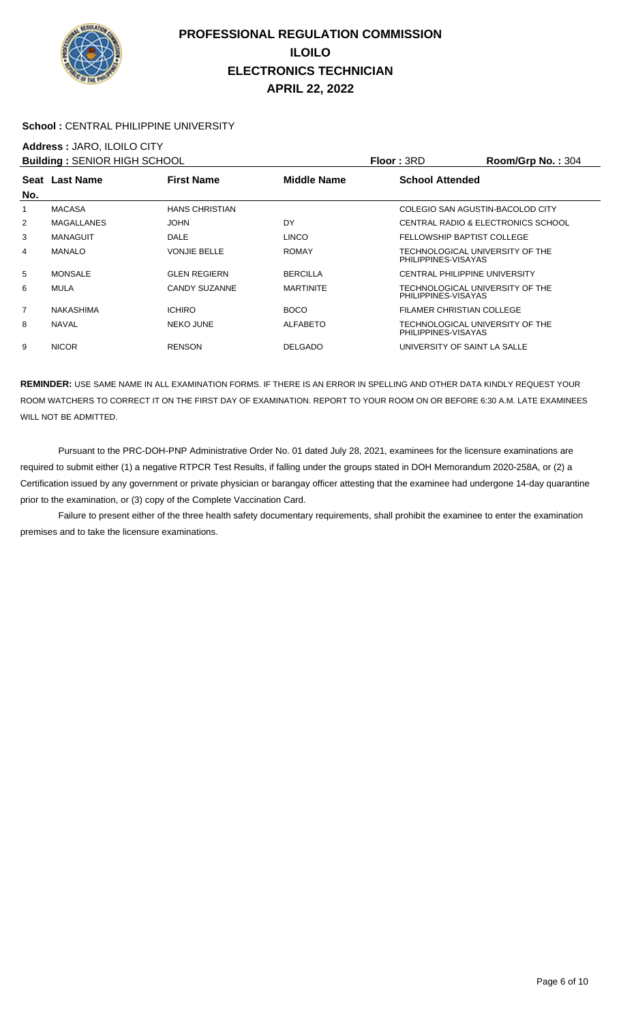

#### School : CENTRAL PHILIPPINE UNIVERSITY

# **Address :** JARO, ILOILO CITY

|     | <b>Building: SENIOR HIGH SCHOOL</b> |                       |                    | <b>Floor: 3RD</b>                                      | Room/Grp No.: 304                  |
|-----|-------------------------------------|-----------------------|--------------------|--------------------------------------------------------|------------------------------------|
|     | Seat Last Name                      | <b>First Name</b>     | <b>Middle Name</b> | <b>School Attended</b>                                 |                                    |
| No. |                                     |                       |                    |                                                        |                                    |
| 1   | <b>MACASA</b>                       | <b>HANS CHRISTIAN</b> |                    | COLEGIO SAN AGUSTIN-BACOLOD CITY                       |                                    |
| 2   | <b>MAGALLANES</b>                   | <b>JOHN</b>           | DY                 |                                                        | CENTRAL RADIO & ELECTRONICS SCHOOL |
| 3   | <b>MANAGUIT</b>                     | <b>DALE</b>           | <b>LINCO</b>       | FELLOWSHIP BAPTIST COLLEGE                             |                                    |
| 4   | <b>MANALO</b>                       | <b>VONJIE BELLE</b>   | <b>ROMAY</b>       | TECHNOLOGICAL UNIVERSITY OF THE<br>PHILIPPINES-VISAYAS |                                    |
| 5   | <b>MONSALE</b>                      | <b>GLEN REGIERN</b>   | <b>BERCILLA</b>    | CENTRAL PHILIPPINE UNIVERSITY                          |                                    |
| 6   | <b>MULA</b>                         | CANDY SUZANNE         | <b>MARTINITE</b>   | TECHNOLOGICAL UNIVERSITY OF THE<br>PHILIPPINES-VISAYAS |                                    |
| 7   | <b>NAKASHIMA</b>                    | <b>ICHIRO</b>         | <b>BOCO</b>        | FILAMER CHRISTIAN COLLEGE                              |                                    |
| 8   | <b>NAVAL</b>                        | <b>NEKO JUNE</b>      | <b>ALFABETO</b>    | TECHNOLOGICAL UNIVERSITY OF THE<br>PHILIPPINES-VISAYAS |                                    |
| 9   | <b>NICOR</b>                        | <b>RENSON</b>         | <b>DELGADO</b>     | UNIVERSITY OF SAINT LA SALLE                           |                                    |

**REMINDER:** USE SAME NAME IN ALL EXAMINATION FORMS. IF THERE IS AN ERROR IN SPELLING AND OTHER DATA KINDLY REQUEST YOUR ROOM WATCHERS TO CORRECT IT ON THE FIRST DAY OF EXAMINATION. REPORT TO YOUR ROOM ON OR BEFORE 6:30 A.M. LATE EXAMINEES WILL NOT BE ADMITTED.

 Pursuant to the PRC-DOH-PNP Administrative Order No. 01 dated July 28, 2021, examinees for the licensure examinations are required to submit either (1) a negative RTPCR Test Results, if falling under the groups stated in DOH Memorandum 2020-258A, or (2) a Certification issued by any government or private physician or barangay officer attesting that the examinee had undergone 14-day quarantine prior to the examination, or (3) copy of the Complete Vaccination Card.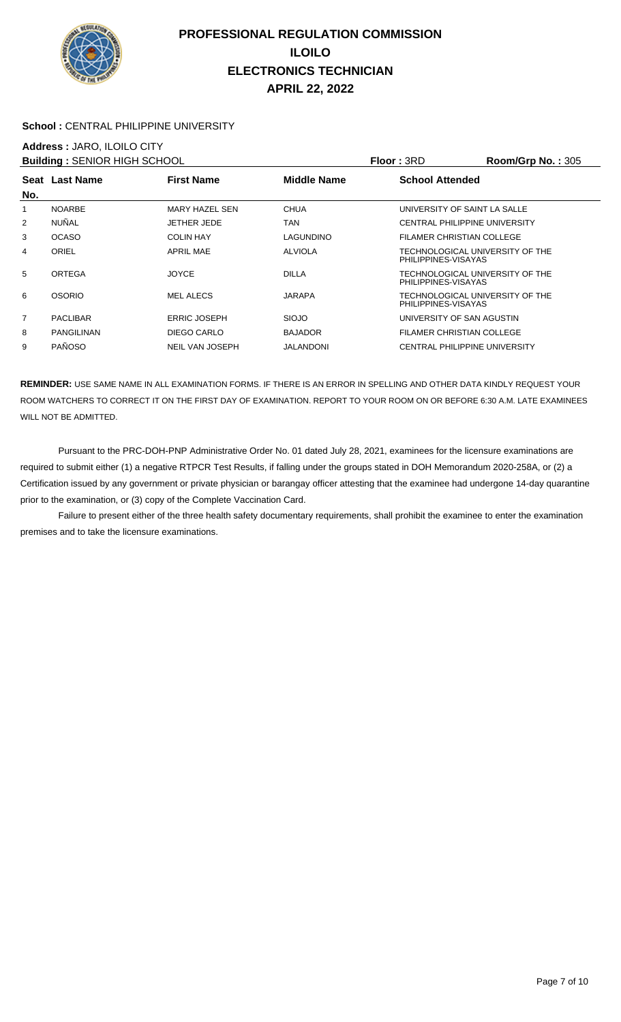

#### School : CENTRAL PHILIPPINE UNIVERSITY

## **Address :** JARO, ILOILO CITY

| <b>Building: SENIOR HIGH SCHOOL</b> |                   |                     |                    | <b>Floor: 3RD</b>                                      | <b>Room/Grp No.: 305</b> |
|-------------------------------------|-------------------|---------------------|--------------------|--------------------------------------------------------|--------------------------|
|                                     | Seat Last Name    | <b>First Name</b>   | <b>Middle Name</b> | <b>School Attended</b>                                 |                          |
| No.                                 |                   |                     |                    |                                                        |                          |
| 1                                   | <b>NOARBE</b>     | MARY HAZEL SEN      | <b>CHUA</b>        | UNIVERSITY OF SAINT LA SALLE                           |                          |
| 2                                   | <b>NUÑAL</b>      | JETHER JEDE         | TAN                | CENTRAL PHILIPPINE UNIVERSITY                          |                          |
| 3                                   | <b>OCASO</b>      | <b>COLIN HAY</b>    | LAGUNDINO          | FILAMER CHRISTIAN COLLEGE                              |                          |
| 4                                   | ORIEL             | APRIL MAE           | <b>ALVIOLA</b>     | TECHNOLOGICAL UNIVERSITY OF THE<br>PHILIPPINES-VISAYAS |                          |
| 5                                   | ORTEGA            | <b>JOYCE</b>        | <b>DILLA</b>       | TECHNOLOGICAL UNIVERSITY OF THE<br>PHILIPPINES-VISAYAS |                          |
| 6                                   | <b>OSORIO</b>     | <b>MEL ALECS</b>    | JARAPA             | TECHNOLOGICAL UNIVERSITY OF THE<br>PHILIPPINES-VISAYAS |                          |
| $\overline{7}$                      | <b>PACLIBAR</b>   | <b>ERRIC JOSEPH</b> | <b>SIOJO</b>       | UNIVERSITY OF SAN AGUSTIN                              |                          |
| 8                                   | <b>PANGILINAN</b> | DIEGO CARLO         | <b>BAJADOR</b>     | <b>FILAMER CHRISTIAN COLLEGE</b>                       |                          |
| 9                                   | <b>PAÑOSO</b>     | NEIL VAN JOSEPH     | JALANDONI          | CENTRAL PHILIPPINE UNIVERSITY                          |                          |

**REMINDER:** USE SAME NAME IN ALL EXAMINATION FORMS. IF THERE IS AN ERROR IN SPELLING AND OTHER DATA KINDLY REQUEST YOUR ROOM WATCHERS TO CORRECT IT ON THE FIRST DAY OF EXAMINATION. REPORT TO YOUR ROOM ON OR BEFORE 6:30 A.M. LATE EXAMINEES WILL NOT BE ADMITTED.

 Pursuant to the PRC-DOH-PNP Administrative Order No. 01 dated July 28, 2021, examinees for the licensure examinations are required to submit either (1) a negative RTPCR Test Results, if falling under the groups stated in DOH Memorandum 2020-258A, or (2) a Certification issued by any government or private physician or barangay officer attesting that the examinee had undergone 14-day quarantine prior to the examination, or (3) copy of the Complete Vaccination Card.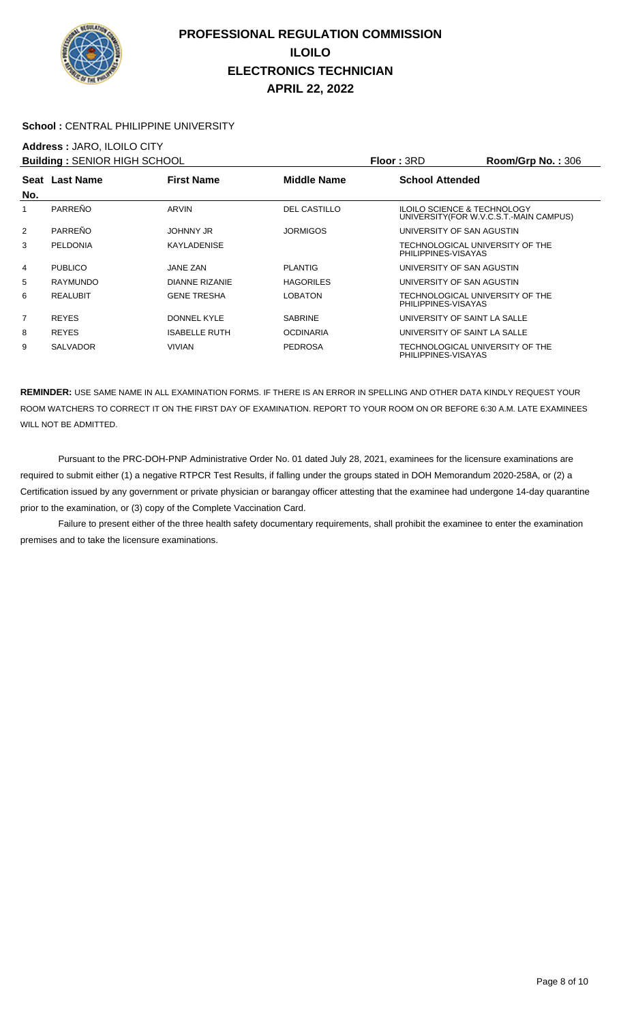

#### School : CENTRAL PHILIPPINE UNIVERSITY

## **Address :** JARO, ILOILO CITY

| <b>Building: SENIOR HIGH SCHOOL</b> |                 |                       |                     | Floor: 3RD                                             | Room/Grp No.: 306                       |
|-------------------------------------|-----------------|-----------------------|---------------------|--------------------------------------------------------|-----------------------------------------|
| No.                                 | Seat Last Name  | <b>First Name</b>     | Middle Name         | <b>School Attended</b>                                 |                                         |
|                                     | PARREÑO         | ARVIN                 | <b>DEL CASTILLO</b> | <b>ILOILO SCIENCE &amp; TECHNOLOGY</b>                 | UNIVERSITY (FOR W.V.C.S.T.-MAIN CAMPUS) |
| 2                                   | PARREÑO         | <b>JOHNNY JR</b>      | <b>JORMIGOS</b>     | UNIVERSITY OF SAN AGUSTIN                              |                                         |
| 3                                   | <b>PELDONIA</b> | <b>KAYLADENISE</b>    |                     | TECHNOLOGICAL UNIVERSITY OF THE<br>PHILIPPINES-VISAYAS |                                         |
| 4                                   | <b>PUBLICO</b>  | JANE ZAN              | <b>PLANTIG</b>      | UNIVERSITY OF SAN AGUSTIN                              |                                         |
| 5                                   | <b>RAYMUNDO</b> | <b>DIANNE RIZANIE</b> | <b>HAGORILES</b>    | UNIVERSITY OF SAN AGUSTIN                              |                                         |
| 6                                   | <b>REALUBIT</b> | <b>GENE TRESHA</b>    | <b>LOBATON</b>      | TECHNOLOGICAL UNIVERSITY OF THE<br>PHILIPPINES-VISAYAS |                                         |
| $\overline{7}$                      | <b>REYES</b>    | DONNEL KYLE           | <b>SABRINE</b>      | UNIVERSITY OF SAINT LA SALLE                           |                                         |
| 8                                   | <b>REYES</b>    | <b>ISABELLE RUTH</b>  | <b>OCDINARIA</b>    | UNIVERSITY OF SAINT LA SALLE                           |                                         |
| 9                                   | <b>SALVADOR</b> | <b>VIVIAN</b>         | <b>PEDROSA</b>      | TECHNOLOGICAL UNIVERSITY OF THE<br>PHILIPPINES-VISAYAS |                                         |

**REMINDER:** USE SAME NAME IN ALL EXAMINATION FORMS. IF THERE IS AN ERROR IN SPELLING AND OTHER DATA KINDLY REQUEST YOUR ROOM WATCHERS TO CORRECT IT ON THE FIRST DAY OF EXAMINATION. REPORT TO YOUR ROOM ON OR BEFORE 6:30 A.M. LATE EXAMINEES WILL NOT BE ADMITTED.

 Pursuant to the PRC-DOH-PNP Administrative Order No. 01 dated July 28, 2021, examinees for the licensure examinations are required to submit either (1) a negative RTPCR Test Results, if falling under the groups stated in DOH Memorandum 2020-258A, or (2) a Certification issued by any government or private physician or barangay officer attesting that the examinee had undergone 14-day quarantine prior to the examination, or (3) copy of the Complete Vaccination Card.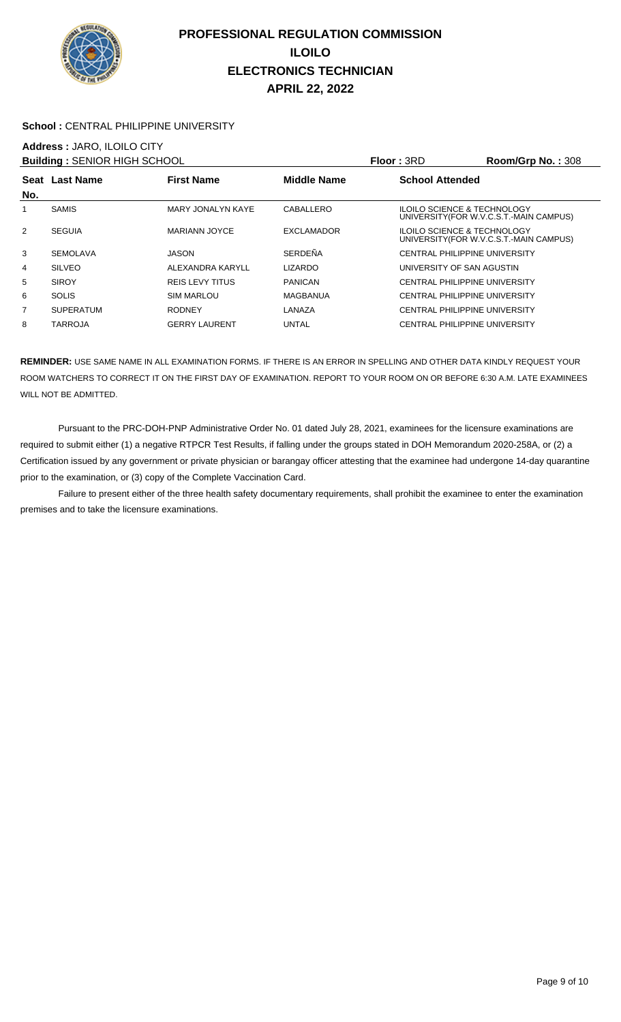

#### School : CENTRAL PHILIPPINE UNIVERSITY

### **Address :** JARO, ILOILO CITY

|                | <b>Building: SENIOR HIGH SCHOOL</b> |                        |                    | <b>Floor: 3RD</b>                      | Room/Grp No.: 308                       |
|----------------|-------------------------------------|------------------------|--------------------|----------------------------------------|-----------------------------------------|
|                | Seat Last Name                      | <b>First Name</b>      | <b>Middle Name</b> | <b>School Attended</b>                 |                                         |
| No.            |                                     |                        |                    |                                        |                                         |
|                | <b>SAMIS</b>                        | MARY JONALYN KAYE      | CABALLERO          | <b>ILOILO SCIENCE &amp; TECHNOLOGY</b> | UNIVERSITY (FOR W.V.C.S.T.-MAIN CAMPUS) |
| 2              | <b>SEGUIA</b>                       | <b>MARIANN JOYCE</b>   | <b>EXCLAMADOR</b>  | <b>ILOILO SCIENCE &amp; TECHNOLOGY</b> | UNIVERSITY (FOR W.V.C.S.T.-MAIN CAMPUS) |
| 3              | <b>SEMOLAVA</b>                     | JASON                  | SERDEÑA            | CENTRAL PHILIPPINE UNIVERSITY          |                                         |
| 4              | <b>SILVEO</b>                       | ALEXANDRA KARYLL       | <b>LIZARDO</b>     | UNIVERSITY OF SAN AGUSTIN              |                                         |
| 5              | <b>SIROY</b>                        | <b>REIS LEVY TITUS</b> | <b>PANICAN</b>     | CENTRAL PHILIPPINE UNIVERSITY          |                                         |
| 6              | <b>SOLIS</b>                        | <b>SIM MARLOU</b>      | MAGBANUA           | CENTRAL PHILIPPINE UNIVERSITY          |                                         |
| $\overline{7}$ | <b>SUPERATUM</b>                    | <b>RODNEY</b>          | LANAZA             | CENTRAL PHILIPPINE UNIVERSITY          |                                         |
| 8              | <b>TARROJA</b>                      | <b>GERRY LAURENT</b>   | <b>UNTAL</b>       | CENTRAL PHILIPPINE UNIVERSITY          |                                         |

**REMINDER:** USE SAME NAME IN ALL EXAMINATION FORMS. IF THERE IS AN ERROR IN SPELLING AND OTHER DATA KINDLY REQUEST YOUR ROOM WATCHERS TO CORRECT IT ON THE FIRST DAY OF EXAMINATION. REPORT TO YOUR ROOM ON OR BEFORE 6:30 A.M. LATE EXAMINEES WILL NOT BE ADMITTED.

 Pursuant to the PRC-DOH-PNP Administrative Order No. 01 dated July 28, 2021, examinees for the licensure examinations are required to submit either (1) a negative RTPCR Test Results, if falling under the groups stated in DOH Memorandum 2020-258A, or (2) a Certification issued by any government or private physician or barangay officer attesting that the examinee had undergone 14-day quarantine prior to the examination, or (3) copy of the Complete Vaccination Card.